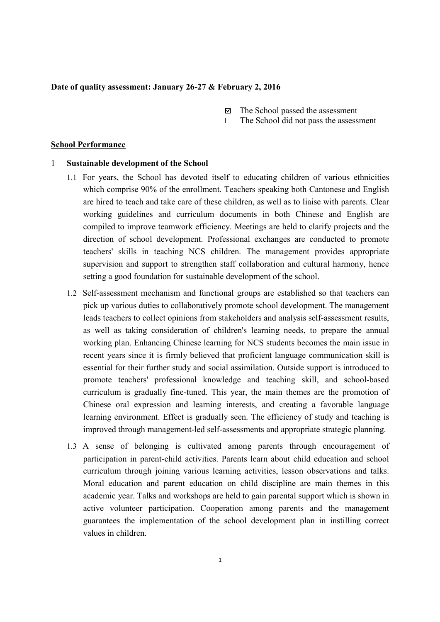# **Date of quality assessment: January 26-27 & February 2, 2016**

- $\boxtimes$  The School passed the assessment
- The School did not pass the assessment  $\Box$

## **School Performance**

#### 1 **Sustainable development of the School**

- 1.1 For years, the School has devoted itself to educating children of various ethnicities which comprise 90% of the enrollment. Teachers speaking both Cantonese and English are hired to teach and take care of these children, as well as to liaise with parents. Clear working guidelines and curriculum documents in both Chinese and English are compiled to improve teamwork efficiency. Meetings are held to clarify projects and the direction of school development. Professional exchanges are conducted to promote teachers' skills in teaching NCS children. The management provides appropriate supervision and support to strengthen staff collaboration and cultural harmony, hence setting a good foundation for sustainable development of the school.
- 1.2 Self-assessment mechanism and functional groups are established so that teachers can pick up various duties to collaboratively promote school development. The management leads teachers to collect opinions from stakeholders and analysis self-assessment results, as well as taking consideration of children's learning needs, to prepare the annual working plan. Enhancing Chinese learning for NCS students becomes the main issue in recent years since it is firmly believed that proficient language communication skill is essential for their further study and social assimilation. Outside support is introduced to promote teachers' professional knowledge and teaching skill, and school-based curriculum is gradually fine-tuned. This year, the main themes are the promotion of Chinese oral expression and learning interests, and creating a favorable language learning environment. Effect is gradually seen. The efficiency of study and teaching is improved through management-led self-assessments and appropriate strategic planning.
- 1.3 A sense of belonging is cultivated among parents through encouragement of participation in parent-child activities. Parents learn about child education and school curriculum through joining various learning activities, lesson observations and talks. Moral education and parent education on child discipline are main themes in this academic year. Talks and workshops are held to gain parental support which is shown in active volunteer participation. Cooperation among parents and the management guarantees the implementation of the school development plan in instilling correct values in children.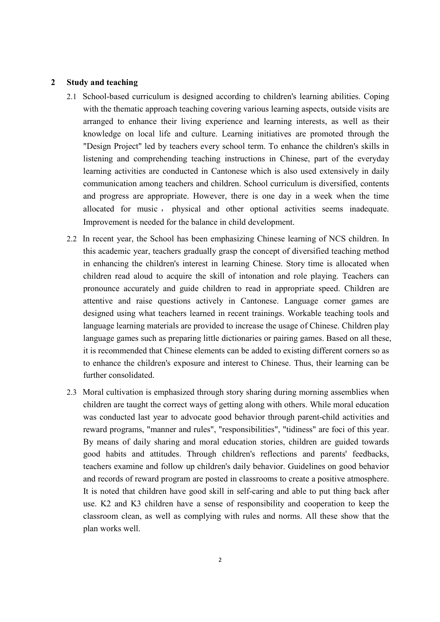## **2 Study and teaching**

- 2.1 School-based curriculum is designed according to children's learning abilities. Coping with the thematic approach teaching covering various learning aspects, outside visits are arranged to enhance their living experience and learning interests, as well as their knowledge on local life and culture. Learning initiatives are promoted through the "Design Project" led by teachers every school term. To enhance the children's skills in listening and comprehending teaching instructions in Chinese, part of the everyday learning activities are conducted in Cantonese which is also used extensively in daily communication among teachers and children. School curriculum is diversified, contents and progress are appropriate. However, there is one day in a week when the time allocated for music , physical and other optional activities seems inadequate. Improvement is needed for the balance in child development.
- 2.2 In recent year, the School has been emphasizing Chinese learning of NCS children. In this academic year, teachers gradually grasp the concept of diversified teaching method in enhancing the children's interest in learning Chinese. Story time is allocated when children read aloud to acquire the skill of intonation and role playing. Teachers can pronounce accurately and guide children to read in appropriate speed. Children are attentive and raise questions actively in Cantonese. Language corner games are designed using what teachers learned in recent trainings. Workable teaching tools and language learning materials are provided to increase the usage of Chinese. Children play language games such as preparing little dictionaries or pairing games. Based on all these, it is recommended that Chinese elements can be added to existing different corners so as to enhance the children's exposure and interest to Chinese. Thus, their learning can be further consolidated.
- 2.3 Moral cultivation is emphasized through story sharing during morning assemblies when children are taught the correct ways of getting along with others. While moral education was conducted last year to advocate good behavior through parent-child activities and reward programs, "manner and rules", "responsibilities", "tidiness" are foci of this year. By means of daily sharing and moral education stories, children are guided towards good habits and attitudes. Through children's reflections and parents' feedbacks, teachers examine and follow up children's daily behavior. Guidelines on good behavior and records of reward program are posted in classrooms to create a positive atmosphere. It is noted that children have good skill in self-caring and able to put thing back after use. K2 and K3 children have a sense of responsibility and cooperation to keep the classroom clean, as well as complying with rules and norms. All these show that the plan works well.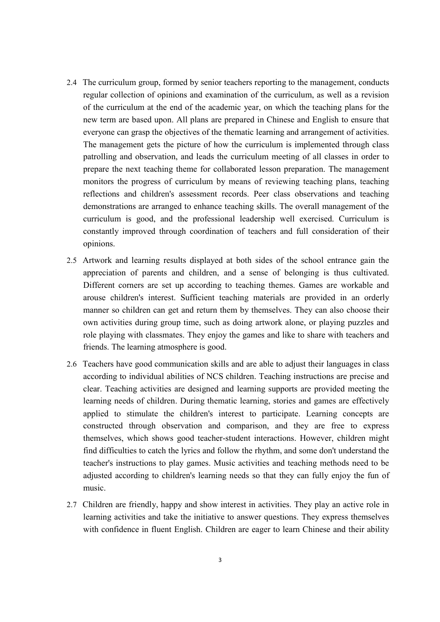- 2.4 The curriculum group, formed by senior teachers reporting to the management, conducts regular collection of opinions and examination of the curriculum, as well as a revision of the curriculum at the end of the academic year, on which the teaching plans for the new term are based upon. All plans are prepared in Chinese and English to ensure that everyone can grasp the objectives of the thematic learning and arrangement of activities. The management gets the picture of how the curriculum is implemented through class patrolling and observation, and leads the curriculum meeting of all classes in order to prepare the next teaching theme for collaborated lesson preparation. The management monitors the progress of curriculum by means of reviewing teaching plans, teaching reflections and children's assessment records. Peer class observations and teaching demonstrations are arranged to enhance teaching skills. The overall management of the curriculum is good, and the professional leadership well exercised. Curriculum is constantly improved through coordination of teachers and full consideration of their opinions.
- 2.5 Artwork and learning results displayed at both sides of the school entrance gain the appreciation of parents and children, and a sense of belonging is thus cultivated. Different corners are set up according to teaching themes. Games are workable and arouse children's interest. Sufficient teaching materials are provided in an orderly manner so children can get and return them by themselves. They can also choose their own activities during group time, such as doing artwork alone, or playing puzzles and role playing with classmates. They enjoy the games and like to share with teachers and friends. The learning atmosphere is good.
- 2.6 Teachers have good communication skills and are able to adjust their languages in class according to individual abilities of NCS children. Teaching instructions are precise and clear. Teaching activities are designed and learning supports are provided meeting the learning needs of children. During thematic learning, stories and games are effectively applied to stimulate the children's interest to participate. Learning concepts are constructed through observation and comparison, and they are free to express themselves, which shows good teacher-student interactions. However, children might find difficulties to catch the lyrics and follow the rhythm, and some don't understand the teacher's instructions to play games. Music activities and teaching methods need to be adjusted according to children's learning needs so that they can fully enjoy the fun of music.
- 2.7 Children are friendly, happy and show interest in activities. They play an active role in learning activities and take the initiative to answer questions. They express themselves with confidence in fluent English. Children are eager to learn Chinese and their ability